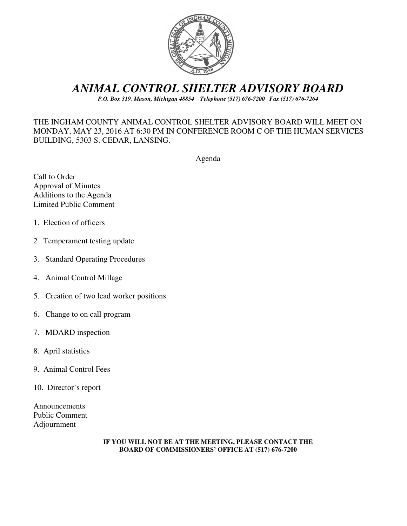

# *ANIMAL CONTROL SHELTER ADVISORY BOARD*

*P.O. Box 319. Mason, Michigan 48854 Telephone (517) 676-7200 Fax (517) 676-7264*

# THE INGHAM COUNTY ANIMAL CONTROL SHELTER ADVISORY BOARD WILL MEET ON MONDAY, MAY 23, 2016 AT 6:30 PM IN CONFERENCE ROOM C OF THE HUMAN SERVICES BUILDING, 5303 S. CEDAR, LANSING.

Agenda

Call to Order Approval of Minutes Additions to the Agenda Limited Public Comment

- 1. Election of officers
- 2 Temperament testing update
- 3. Standard Operating Procedures
- 4. Animal Control Millage
- 5. Creation of two lead worker positions
- 6. Change to on call program
- 7. MDARD inspection
- 8. April statistics
- 9. Animal Control Fees
- 10. Director's report

Announcements Public Comment Adjournment

#### **IF YOU WILL NOT BE AT THE MEETING, PLEASE CONTACT THE BOARD OF COMMISSIONERS' OFFICE AT (517) 676-7200**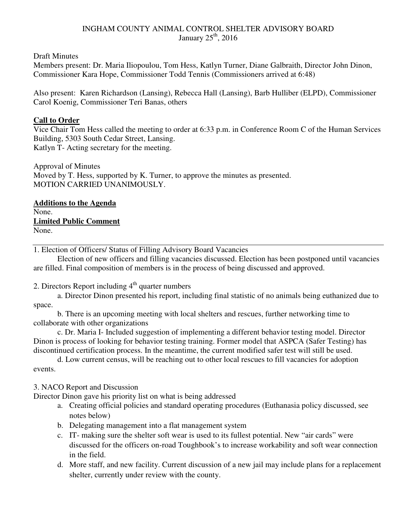# INGHAM COUNTY ANIMAL CONTROL SHELTER ADVISORY BOARD January  $25<sup>th</sup>$ , 2016

Draft Minutes

Members present: Dr. Maria Iliopoulou, Tom Hess, Katlyn Turner, Diane Galbraith, Director John Dinon, Commissioner Kara Hope, Commissioner Todd Tennis (Commissioners arrived at 6:48)

Also present: Karen Richardson (Lansing), Rebecca Hall (Lansing), Barb Hulliber (ELPD), Commissioner Carol Koenig, Commissioner Teri Banas, others

# **Call to Order**

Vice Chair Tom Hess called the meeting to order at 6:33 p.m. in Conference Room C of the Human Services Building, 5303 South Cedar Street, Lansing. Katlyn T- Acting secretary for the meeting.

Approval of Minutes Moved by T. Hess, supported by K. Turner, to approve the minutes as presented. MOTION CARRIED UNANIMOUSLY.

**Additions to the Agenda**  None. **Limited Public Comment**  None.

1. Election of Officers/ Status of Filling Advisory Board Vacancies

 Election of new officers and filling vacancies discussed. Election has been postponed until vacancies are filled. Final composition of members is in the process of being discussed and approved.

2. Directors Report including  $4<sup>th</sup>$  quarter numbers

a. Director Dinon presented his report, including final statistic of no animals being euthanized due to space.

b. There is an upcoming meeting with local shelters and rescues, further networking time to collaborate with other organizations

c. Dr. Maria I- Included suggestion of implementing a different behavior testing model. Director Dinon is process of looking for behavior testing training. Former model that ASPCA (Safer Testing) has discontinued certification process. In the meantime, the current modified safer test will still be used.

d. Low current census, will be reaching out to other local rescues to fill vacancies for adoption events.

# 3. NACO Report and Discussion

Director Dinon gave his priority list on what is being addressed

- a. Creating official policies and standard operating procedures (Euthanasia policy discussed, see notes below)
- b. Delegating management into a flat management system
- c. IT- making sure the shelter soft wear is used to its fullest potential. New "air cards" were discussed for the officers on-road Toughbook's to increase workability and soft wear connection in the field.
- d. More staff, and new facility. Current discussion of a new jail may include plans for a replacement shelter, currently under review with the county.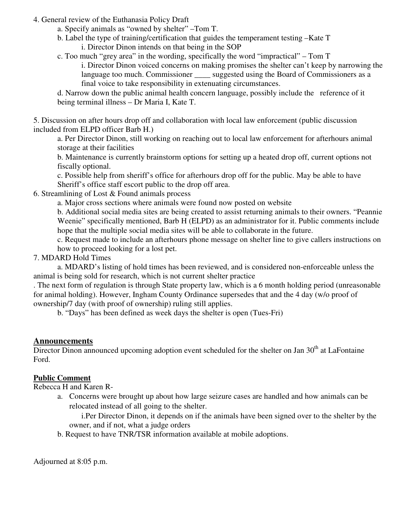#### 4. General review of the Euthanasia Policy Draft

- a. Specify animals as "owned by shelter" –Tom T.
- b. Label the type of training/certification that guides the temperament testing –Kate T i. Director Dinon intends on that being in the SOP

 c. Too much "grey area" in the wording, specifically the word "impractical" – Tom T i. Director Dinon voiced concerns on making promises the shelter can't keep by narrowing the language too much. Commissioner suggested using the Board of Commissioners as a final voice to take responsibility in extenuating circumstances.

d. Narrow down the public animal health concern language, possibly include the reference of it being terminal illness – Dr Maria I, Kate T.

5. Discussion on after hours drop off and collaboration with local law enforcement (public discussion included from ELPD officer Barb H.)

a. Per Director Dinon, still working on reaching out to local law enforcement for afterhours animal storage at their facilities

b. Maintenance is currently brainstorm options for setting up a heated drop off, current options not fiscally optional.

c. Possible help from sheriff's office for afterhours drop off for the public. May be able to have Sheriff's office staff escort public to the drop off area.

6. Streamlining of Lost & Found animals process

a. Major cross sections where animals were found now posted on website

b. Additional social media sites are being created to assist returning animals to their owners. "Peannie Weenie" specifically mentioned, Barb H (ELPD) as an administrator for it. Public comments include hope that the multiple social media sites will be able to collaborate in the future.

c. Request made to include an afterhours phone message on shelter line to give callers instructions on how to proceed looking for a lost pet.

7. MDARD Hold Times

 a. MDARD's listing of hold times has been reviewed, and is considered non-enforceable unless the animal is being sold for research, which is not current shelter practice

. The next form of regulation is through State property law, which is a 6 month holding period (unreasonable for animal holding). However, Ingham County Ordinance supersedes that and the 4 day (w/o proof of ownership/7 day (with proof of ownership) ruling still applies.

b. "Days" has been defined as week days the shelter is open (Tues-Fri)

# **Announcements**

Director Dinon announced upcoming adoption event scheduled for the shelter on Jan  $30<sup>th</sup>$  at LaFontaine Ford.

# **Public Comment**

Rebecca H and Karen R-

a. Concerns were brought up about how large seizure cases are handled and how animals can be relocated instead of all going to the shelter.

i.Per Director Dinon, it depends on if the animals have been signed over to the shelter by the owner, and if not, what a judge orders

b. Request to have TNR/TSR information available at mobile adoptions.

Adjourned at 8:05 p.m.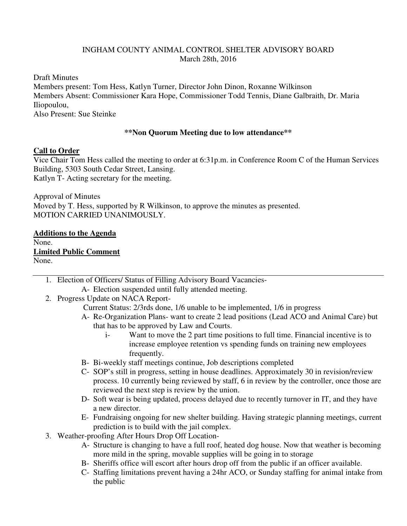### INGHAM COUNTY ANIMAL CONTROL SHELTER ADVISORY BOARD March 28th, 2016

Draft Minutes

Members present: Tom Hess, Katlyn Turner, Director John Dinon, Roxanne Wilkinson Members Absent: Commissioner Kara Hope, Commissioner Todd Tennis, Diane Galbraith, Dr. Maria Iliopoulou,

Also Present: Sue Steinke

#### **\*\*Non Quorum Meeting due to low attendance\*\***

#### **Call to Order**

Vice Chair Tom Hess called the meeting to order at 6:31p.m. in Conference Room C of the Human Services Building, 5303 South Cedar Street, Lansing. Katlyn T- Acting secretary for the meeting.

Approval of Minutes Moved by T. Hess, supported by R Wilkinson, to approve the minutes as presented. MOTION CARRIED UNANIMOUSLY.

#### **Additions to the Agenda**

None.

**Limited Public Comment**  None.

- 1. Election of Officers/ Status of Filling Advisory Board Vacancies-
	- A- Election suspended until fully attended meeting.
- 2. Progress Update on NACA Report-

Current Status: 2/3rds done, 1/6 unable to be implemented, 1/6 in progress

- A- Re-Organization Plans- want to create 2 lead positions (Lead ACO and Animal Care) but that has to be approved by Law and Courts.
	- i- Want to move the 2 part time positions to full time. Financial incentive is to increase employee retention vs spending funds on training new employees frequently.
- B- Bi-weekly staff meetings continue, Job descriptions completed
- C- SOP's still in progress, setting in house deadlines. Approximately 30 in revision/review process. 10 currently being reviewed by staff, 6 in review by the controller, once those are reviewed the next step is review by the union.
- D- Soft wear is being updated, process delayed due to recently turnover in IT, and they have a new director.
- E- Fundraising ongoing for new shelter building. Having strategic planning meetings, current prediction is to build with the jail complex.
- 3. Weather-proofing After Hours Drop Off Location-
	- A- Structure is changing to have a full roof, heated dog house. Now that weather is becoming more mild in the spring, movable supplies will be going in to storage
	- B- Sheriffs office will escort after hours drop off from the public if an officer available.
	- C- Staffing limitations prevent having a 24hr ACO, or Sunday staffing for animal intake from the public